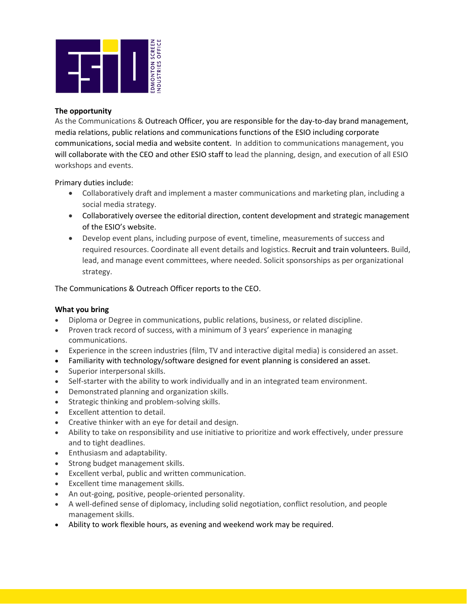

## **The opportunity**

As the Communications & Outreach Officer, you are responsible for the day-to-day brand management, media relations, public relations and communications functions of the ESIO including corporate communications, social media and website content. In addition to communications management, you will collaborate with the CEO and other ESIO staff to lead the planning, design, and execution of all ESIO workshops and events.

Primary duties include:

- Collaboratively draft and implement a master communications and marketing plan, including a social media strategy.
- Collaboratively oversee the editorial direction, content development and strategic management of the ESIO's website.
- Develop event plans, including purpose of event, timeline, measurements of success and required resources. Coordinate all event details and logistics. Recruit and train volunteers. Build, lead, and manage event committees, where needed. Solicit sponsorships as per organizational strategy.

The Communications & Outreach Officer reports to the CEO.

# **What you bring**

- Diploma or Degree in communications, public relations, business, or related discipline.
- Proven track record of success, with a minimum of 3 years' experience in managing communications.
- Experience in the screen industries (film, TV and interactive digital media) is considered an asset.
- Familiarity with technology/software designed for event planning is considered an asset.
- Superior interpersonal skills.
- Self-starter with the ability to work individually and in an integrated team environment.
- Demonstrated planning and organization skills.
- Strategic thinking and problem-solving skills.
- Excellent attention to detail.
- Creative thinker with an eye for detail and design.
- Ability to take on responsibility and use initiative to prioritize and work effectively, under pressure and to tight deadlines.
- Enthusiasm and adaptability.
- Strong budget management skills.
- Excellent verbal, public and written communication.
- Excellent time management skills.
- An out-going, positive, people-oriented personality.
- A well-defined sense of diplomacy, including solid negotiation, conflict resolution, and people management skills.
- Ability to work flexible hours, as evening and weekend work may be required.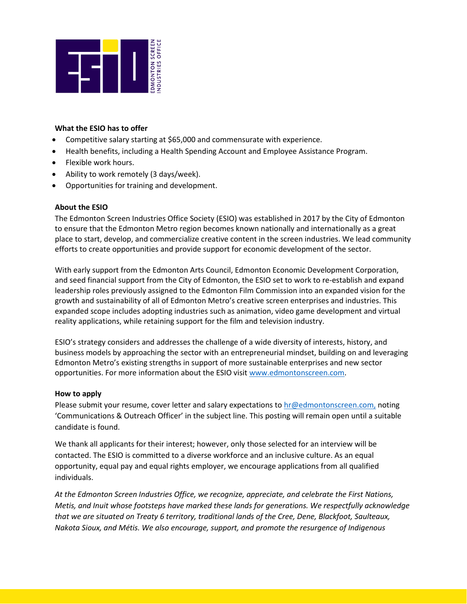

### **What the ESIO has to offer**

- Competitive salary starting at \$65,000 and commensurate with experience.
- Health benefits, including a Health Spending Account and Employee Assistance Program.
- Flexible work hours.
- Ability to work remotely (3 days/week).
- Opportunities for training and development.

### **About the ESIO**

The Edmonton Screen Industries Office Society (ESIO) was established in 2017 by the City of Edmonton to ensure that the Edmonton Metro region becomes known nationally and internationally as a great place to start, develop, and commercialize creative content in the screen industries. We lead community efforts to create opportunities and provide support for economic development of the sector.

With early support from the Edmonton Arts Council, Edmonton Economic Development Corporation, and seed financial support from the City of Edmonton, the ESIO set to work to re-establish and expand leadership roles previously assigned to the Edmonton Film Commission into an expanded vision for the growth and sustainability of all of Edmonton Metro's creative screen enterprises and industries. This expanded scope includes adopting industries such as animation, video game development and virtual reality applications, while retaining support for the film and television industry.

ESIO's strategy considers and addresses the challenge of a wide diversity of interests, history, and business models by approaching the sector with an entrepreneurial mindset, building on and leveraging Edmonton Metro's existing strengths in support of more sustainable enterprises and new sector opportunities. For more information about the ESIO visit [www.edmontonscreen.com.](http://www.edmontonscreen.com/)

### **How to apply**

Please submit your resume, cover letter and salary expectations to [hr@edmontonscreen.com,](mailto:hr@edmontonscreen.com) noting 'Communications & Outreach Officer' in the subject line. This posting will remain open until a suitable candidate is found.

We thank all applicants for their interest; however, only those selected for an interview will be contacted. The ESIO is committed to a diverse workforce and an inclusive culture. As an equal opportunity, equal pay and equal rights employer, we encourage applications from all qualified individuals.

*At the Edmonton Screen Industries Office, we recognize, appreciate, and celebrate the First Nations, Metis, and Inuit whose footsteps have marked these lands for generations. We respectfully acknowledge that we are situated on Treaty 6 territory, traditional lands of the Cree, Dene, Blackfoot, Saulteaux, Nakota Sioux, and Métis. We also encourage, support, and promote the resurgence of Indigenous*